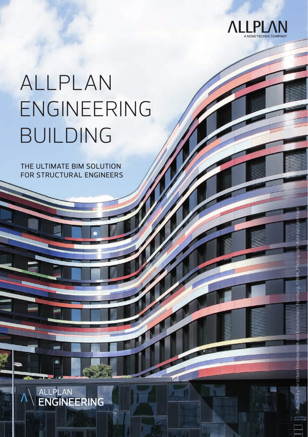

ALLPLAN ENGINEERING 1

© Authority for Urban Development and Environment, Hamburg, © NBK, Photograph: Andreas Lechtape

ority for Urbar

# ALLPLAN ENGINEERING BUILDING

THE ULTIMATE BIM SOLUTION FOR STRUCTURAL ENGINEERS

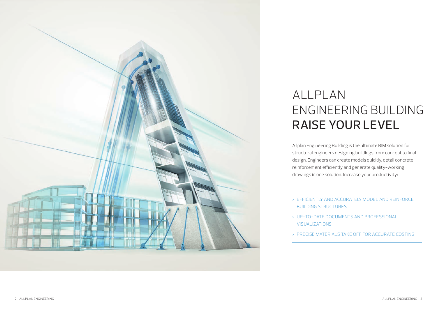

### ALLPLAN ENGINEERING BUILDING RAISE YOUR LEVEL

Allplan Engineering Building is the ultimate BIM solution for structural engineers designing buildings from concept to final design. Engineers can create models quickly, detail concrete reinforcement efficiently and generate quality-working drawings in one solution. Increase your productivity:

- > EFFICIENTLY AND ACCURATELY MODEL AND REINFORCE BUILDING STRUCTURES
- > UP-TO-DATE DOCUMENTS AND PROFESSIONAL VISUALIZATIONS
- > PRECISE MATERIALS TAKE OFF FOR ACCURATE COSTING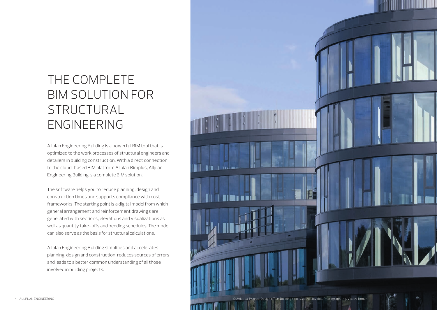## THE COMPLETE BIM SOLUTION FOR STRUCTURAL ENGINEERING

Allplan Engineering Building is a powerful BIM tool that is optimized to the work processes of structural engineers and detailers in building construction. With a direct connection to the cloud-based BIM platform Allplan Bimplus, Allplan Engineering Building is a complete BIM solution.

The software helps you to reduce planning, design and construction times and supports compliance with cost frameworks. The starting point is a digital model from which general arrangement and reinforcement drawings are generated with sections, elevations and visualizations as well as quantity take-offs and bending schedules. The model can also serve as the basis for structural calculations.

Allplan Engineering Building simplifies and accelerates planning, design and construction, reduces sources of errors and leads to a better common understanding of all those involved in building projects.

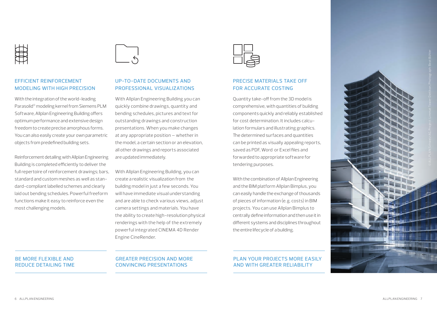

#### EFFICIENT REINFORCEMENT MODELING WITH HIGH PRECISION

With the integration of the world-leading Parasolid® modeling kernel from Siemens PLM Software, Allplan Engineering Building offers optimum performance and extensive design freedom to create precise amorphous forms. You can also easily create your own parametric objects from predefined building sets.

Reinforcement detailing with Allplan Engineering Building is completed efficiently to deliver the full repertoire of reinforcement drawings; bars, standard and custom meshes as well as standard-compliant labelled schemes and clearly laid out bending schedules. Powerful freeform functions make it easy to reinforce even the most challenging models.

#### UP-TO-DATE DOCUMENTS AND PROFESSIONAL VISUALIZATIONS

With Allplan Engineering Building you can quickly combine drawings, quantity and bending schedules, pictures and text for outstanding drawings and construction presentations. When you make changes at any appropriate position – whether in the model, a certain section or an elevation, all other drawings and reports associated are updated immediately.

With Allplan Engineering Building, you can create a realistic visualization from the building model in just a few seconds. You will have immediate visual understanding and are able to check various views, adjust camera settings and materials. You have the ability to create high-resolution physical renderings with the help of the extremely powerful integrated CINEMA 4D Render Engine CineRender.



#### PRECISE MATERIALS TAKE OFF FOR ACCURATE COSTING

Quantity take-off from the 3D model is comprehensive, with quantities of building components quickly and reliably established for cost determination. It includes calculation formulars and illustrating graphics. The determined surfaces and quantities can be printed as visually appealing reports, saved as PDF, Word, or Excel files and forwarded to appropriate software for tendering purposes.

With the combination of Allplan Engineering and the BIM platform Allplan Bimplus, you can easily handle the exchange of thousands of pieces of information (e.g. costs) in BIM projects. You can use Allplan Bimplus to centrally define information and then use it in different systems and disciplines throughout the entire lifecycle of a building.

#### PLAN YOUR PROJECTS MORE EASILY AND WITH GREATER RELIABILITY



#### BE MORE FLEXIBLE AND REDUCE DETAILING TIME

### GREATER PRECISION AND MORE CONVINCING PRESENTATIONS